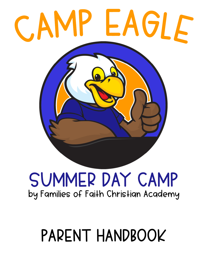# CAMP EAGLE

### SUMMER DAY CAMP **by Families of Faith Christian Academy**

## **PARENT HANDBOOK**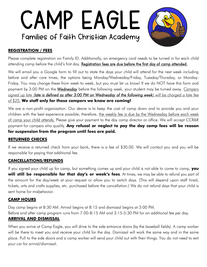

#### **REGISTRATION / FEES**

Please complete registration on Family ID. Additionally, an emergency card needs to be turned in for each child attending camp before the child's first day. Registration fees are due before the first day of camp attended.

We will email you a Google form to fill out to state the days your child will attend for the next week including before and after care times, the options being Monday/Wednesday/Friday, Tuesday/Thursday, or Monday-Friday. You may change these from week to week, but you must let us know! If we do NOT have this form and payment by 3:00 PM on the *Wednesday* before the following week, your student may be turned away. *Campers signed up late (late is defined as after 3:00 PM on Wednesday of the following week) will be charged a late fee of \$25.* **We staff only for those campers we know are coming!**

We are a non-profit organization. Our desire is to keep the cost of camp down and to provide you and your children with the best experience possible; therefore, the weekly fee is due by the Wednesday before each week of camp your child attends. Please give your payment to the day camp director or office. We will accept CCR&R payment for campers who qualify. **Any refusal or neglect to pay the day camp fees will be reason for suspension from the program until fees are paid.** 

#### **RETURNED CHECKS**

If we receive a returned check from your bank, there is a fee of \$30.00. We will contact you and you will be responsible for paying that additional fee.

#### **CANCELLATIONS/REFUNDS**

If you signed your child up for camp, but something comes up and your child is not able to come to camp, **you will still be responsible for that day's or week's fees**. At times, we may be able to refund you part of the amount for the day/week at your request or allow you to switch days. (This will depend upon staff hired, tickets, arts and crafts supplies, etc. purchased before the cancellation.) We do not refund days that your child is sent home for misbehavior.

#### **CAMP HOURS**

Day camp begins at 8:30 AM. Arrival begins at 8:15 and dismissal begins at 3:00 PM. Before and after camp program runs from 7:00-8:15 AM and 3:15-5:30 PM for an additional fee per day.

#### **ARRIVAL AND DISMISSAL**

When you arrive at Camp Eagle, you will drive to the side entrance doors (by the baseball fields). A camp worker will be there to meet you and receive your child for the day. Dismissal will work the same way and in the same place. Pull to the side doors and a camp worker will send your child out with their things. You do not need to exit your car for arrival/dismissal.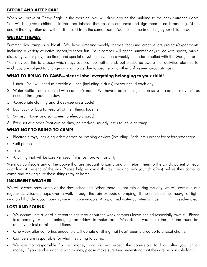#### **BEFORE AND AFTER CARE**

When you arrive at Camp Eagle in the morning, you will drive around the building to the back entrance doors. You will bring your child(ren) in the door labeled (before care entrance) and sign them in each morning. At the end of the day, aftercare will be dismissed from the same room. You must come in and sign your children out.

#### **WEEKLY THEMES**

Summer day camp is a blast! We have amazing weekly themes featuring creative art projects/experiments, including a variety of active indoor/outdoor fun. Your camper will spend summer days filled with sports, music, discovery, water play, free time, and special days! There will be a weekly calendar emailed with the Google Form. You may use this to choose which days your camper will attend, but please be aware that activities planned for each day are subject to change without notice due to weather and other unforeseen circumstances.

#### **WHAT TO BRING TO CAMP—please label everything belonging to your child!**

- 1. Lunch—You will need to provide a lunch (including a drink) for your child each day.
- 2. Water Bottle—daily labeled with camper's name. We have a bottle filling station so your camper may refill as needed throughout the day.
- 3. Appropriate clothing and shoes (see dress code)
- 4. Backpack or bag to keep all of their things together
- 5. Swimsuit, towel and sunscreen (preferably spray)
- 6. Extra set of clothes (that can be dirty, painted-on, muddy, etc.) to leave at camp!

#### **WHAT NOT TO BRING TO CAMP!**

- Electronic toys, including video games or listening devices (including iPods, etc.) except for before/after care
- Cell phone
- Toys
- Anything that will be sorely missed if it is lost, broken, or dirty

We may confiscate any of the above that are brought to camp and will return them to the child's parent or legal guardian at the end of the day. Please help us avoid this by checking with your child(ren) before they come to camp and making sure these things stay at home.

#### **INCLEMENT WEATHER**

We will always have camp on the days scheduled. When there is light rain during the day, we will continue our regular activities (perhaps even a walk through the rain or puddle jumping). If the rain becomes heavy, or lightning and thunder accompany it, we will move indoors. Any planned water activities will be rescheduled.

#### **LOST AND FOUND**

- We accumulate a lot of different things throughout the week campers leave behind (especially towels!). Please take home your child's belongings on Fridays to make room. We ask that you check the lost and found frequently for lost or misplaced items.
- One week after camp has ended, we will donate anything that hasn't been picked up to a local charity.
- Campers are responsible for what they bring to camp.
- We are not responsible for lost money, and do not expect the counselors to look after your child's money. If you send your child with money, please make sure they understand that they are responsible for it.